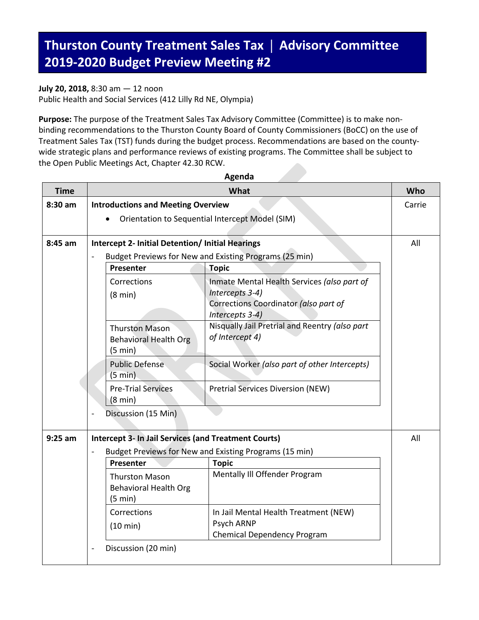## **Thurston County Treatment Sales Tax** | **Advisory Committee 2019-2020 Budget Preview Meeting #2**

## **July 20, 2018,** 8:30 am — 12 noon

Public Health and Social Services (412 Lilly Rd NE, Olympia)

**Purpose:** The purpose of the Treatment Sales Tax Advisory Committee (Committee) is to make nonbinding recommendations to the Thurston County Board of County Commissioners (BoCC) on the use of Treatment Sales Tax (TST) funds during the budget process. Recommendations are based on the countywide strategic plans and performance reviews of existing programs. The Committee shall be subject to the Open Public Meetings Act, Chapter 42.30 RCW.

**Agenda**

| <b>Time</b> | What                                                               |                                                |                                                          | Who |
|-------------|--------------------------------------------------------------------|------------------------------------------------|----------------------------------------------------------|-----|
| 8:30 am     |                                                                    | <b>Introductions and Meeting Overview</b>      |                                                          |     |
|             | Orientation to Sequential Intercept Model (SIM)                    |                                                |                                                          |     |
|             |                                                                    |                                                |                                                          |     |
| 8:45 am     | <b>Intercept 2- Initial Detention/ Initial Hearings</b><br>All     |                                                |                                                          |     |
|             | Budget Previews for New and Existing Programs (25 min)             |                                                |                                                          |     |
|             |                                                                    | Presenter                                      | <b>Topic</b>                                             |     |
|             |                                                                    | Corrections                                    | Inmate Mental Health Services (also part of              |     |
|             |                                                                    | $(8 \text{ min})$                              | Intercepts 3-4)                                          |     |
|             |                                                                    |                                                | Corrections Coordinator (also part of<br>Intercepts 3-4) |     |
|             |                                                                    | <b>Thurston Mason</b>                          | Nisqually Jail Pretrial and Reentry (also part           |     |
|             |                                                                    | <b>Behavioral Health Org</b>                   | of Intercept 4)                                          |     |
|             |                                                                    | $(5 \text{ min})$                              |                                                          |     |
|             |                                                                    | <b>Public Defense</b>                          | Social Worker (also part of other Intercepts)            |     |
|             |                                                                    | $(5 \text{ min})$                              |                                                          |     |
|             |                                                                    | <b>Pre-Trial Services</b><br>$(8 \text{ min})$ | <b>Pretrial Services Diversion (NEW)</b>                 |     |
|             |                                                                    | Discussion (15 Min)                            |                                                          |     |
| $9:25$ am   | <b>Intercept 3- In Jail Services (and Treatment Courts)</b><br>All |                                                |                                                          |     |
|             | Budget Previews for New and Existing Programs (15 min)             |                                                |                                                          |     |
|             |                                                                    | Presenter                                      | <b>Topic</b>                                             |     |
|             |                                                                    | <b>Thurston Mason</b>                          | Mentally III Offender Program                            |     |
|             |                                                                    | <b>Behavioral Health Org</b>                   |                                                          |     |
|             |                                                                    | $(5 \text{ min})$                              |                                                          |     |
|             |                                                                    | Corrections                                    | In Jail Mental Health Treatment (NEW)                    |     |
|             |                                                                    | (10 min)                                       | Psych ARNP<br><b>Chemical Dependency Program</b>         |     |
|             |                                                                    |                                                |                                                          |     |
|             |                                                                    | Discussion (20 min)                            |                                                          |     |